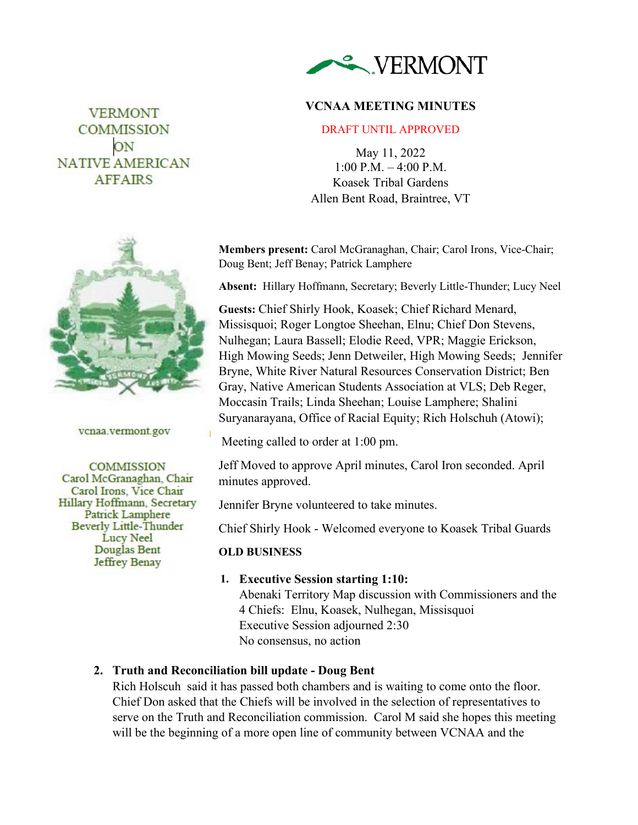

# **VCNAA MEETING MINUTES**

#### DRAFT UNTIL APPROVED

May 11, 2022 1:00 P.M. – 4:00 P.M. Koasek Tribal Gardens Allen Bent Road, Braintree, VT

**Members present:** Carol McGranaghan, Chair; Carol Irons, Vice-Chair; Doug Bent; Jeff Benay; Patrick Lamphere

**Absent:** Hillary Hoffmann, Secretary; Beverly Little-Thunder; Lucy Neel

**Guests:** Chief Shirly Hook, Koasek; Chief Richard Menard, Missisquoi; Roger Longtoe Sheehan, Elnu; Chief Don Stevens, Nulhegan; Laura Bassell; Elodie Reed, VPR; Maggie Erickson, High Mowing Seeds; Jenn Detweiler, High Mowing Seeds; Jennifer Bryne, White River Natural Resources Conservation District; Ben Gray, Native American Students Association at VLS; Deb Reger, Moccasin Trails; Linda Sheehan; Louise Lamphere; Shalini Suryanarayana, Office of Racial Equity; Rich Holschuh (Atowi);

Meeting called to order at 1:00 pm.

Jeff Moved to approve April minutes, Carol Iron seconded. April minutes approved.

Jennifer Bryne volunteered to take minutes.

Chief Shirly Hook - Welcomed everyone to Koasek Tribal Guards

### **OLD BUSINESS**

### **1. Executive Session starting 1:10:**

Abenaki Territory Map discussion with Commissioners and the 4 Chiefs: Elnu, Koasek, Nulhegan, Missisquoi Executive Session adjourned 2:30 No consensus, no action

# **2. Truth and Reconciliation bill update - Doug Bent**

Rich Holscuh said it has passed both chambers and is waiting to come onto the floor. Chief Don asked that the Chiefs will be involved in the selection of representatives to serve on the Truth and Reconciliation commission. Carol M said she hopes this meeting will be the beginning of a more open line of community between VCNAA and the



**VERMONT** COMMISSION ON **NATIVE AMERICAN AFFAIRS** 

vcnaa.vermont.gov

**COMMISSION** Carol McGranaghan, Chair Carol Irons, Vice Chair Hillary Hoffmann, Secretary **Patrick Lamphere Beverly Little-Thunder Lucy Neel** Douglas Bent **Jeffrey Benay**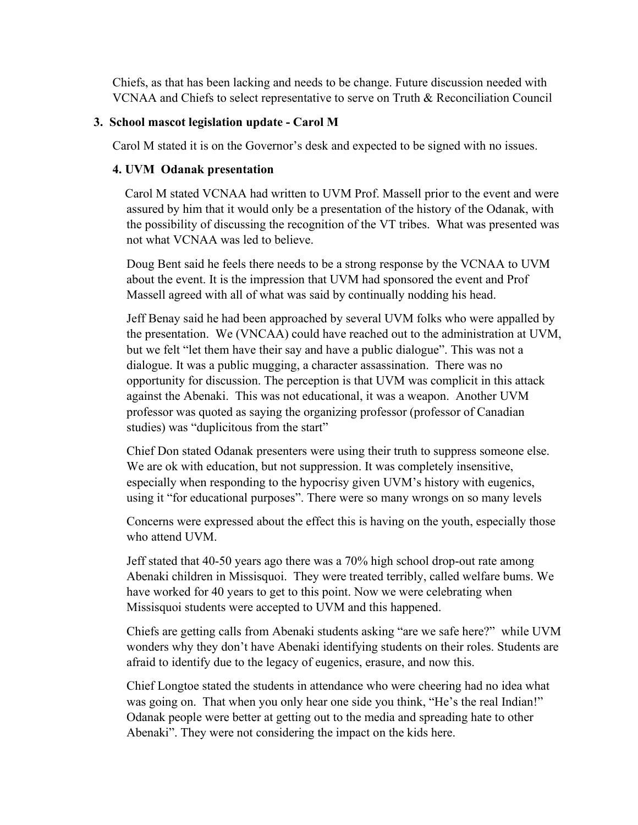Chiefs, as that has been lacking and needs to be change. Future discussion needed with VCNAA and Chiefs to select representative to serve on Truth & Reconciliation Council

### **3. School mascot legislation update - Carol M**

Carol M stated it is on the Governor's desk and expected to be signed with no issues.

### **4. UVM Odanak presentation**

Carol M stated VCNAA had written to UVM Prof. Massell prior to the event and were assured by him that it would only be a presentation of the history of the Odanak, with the possibility of discussing the recognition of the VT tribes. What was presented was not what VCNAA was led to believe.

Doug Bent said he feels there needs to be a strong response by the VCNAA to UVM about the event. It is the impression that UVM had sponsored the event and Prof Massell agreed with all of what was said by continually nodding his head.

Jeff Benay said he had been approached by several UVM folks who were appalled by the presentation. We (VNCAA) could have reached out to the administration at UVM, but we felt "let them have their say and have a public dialogue". This was not a dialogue. It was a public mugging, a character assassination. There was no opportunity for discussion. The perception is that UVM was complicit in this attack against the Abenaki. This was not educational, it was a weapon. Another UVM professor was quoted as saying the organizing professor (professor of Canadian studies) was "duplicitous from the start"

Chief Don stated Odanak presenters were using their truth to suppress someone else. We are ok with education, but not suppression. It was completely insensitive, especially when responding to the hypocrisy given UVM's history with eugenics, using it "for educational purposes". There were so many wrongs on so many levels

Concerns were expressed about the effect this is having on the youth, especially those who attend UVM.

Jeff stated that 40-50 years ago there was a 70% high school drop-out rate among Abenaki children in Missisquoi. They were treated terribly, called welfare bums. We have worked for 40 years to get to this point. Now we were celebrating when Missisquoi students were accepted to UVM and this happened.

Chiefs are getting calls from Abenaki students asking "are we safe here?" while UVM wonders why they don't have Abenaki identifying students on their roles. Students are afraid to identify due to the legacy of eugenics, erasure, and now this.

Chief Longtoe stated the students in attendance who were cheering had no idea what was going on. That when you only hear one side you think, "He's the real Indian!" Odanak people were better at getting out to the media and spreading hate to other Abenaki". They were not considering the impact on the kids here.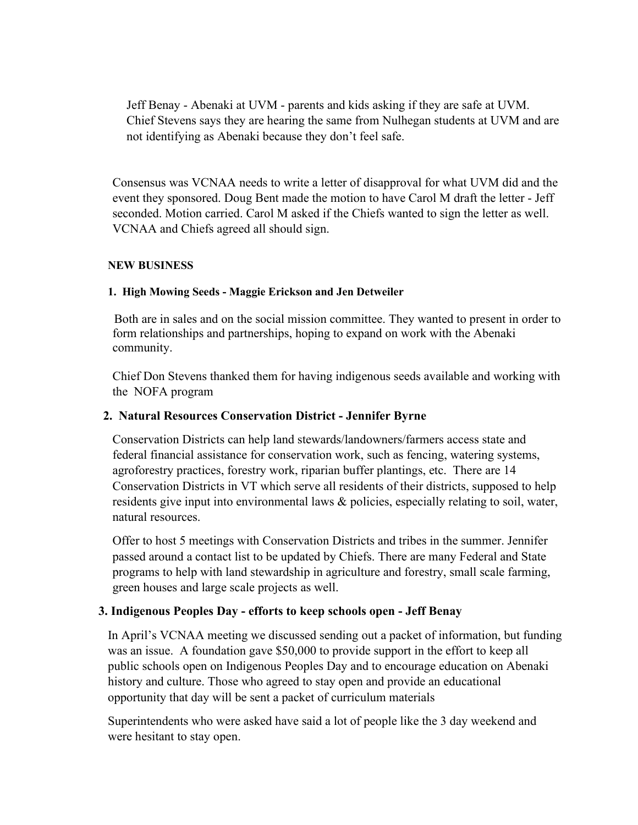Jeff Benay - Abenaki at UVM - parents and kids asking if they are safe at UVM. Chief Stevens says they are hearing the same from Nulhegan students at UVM and are not identifying as Abenaki because they don't feel safe.

Consensus was VCNAA needs to write a letter of disapproval for what UVM did and the event they sponsored. Doug Bent made the motion to have Carol M draft the letter - Jeff seconded. Motion carried. Carol M asked if the Chiefs wanted to sign the letter as well. VCNAA and Chiefs agreed all should sign.

### **NEW BUSINESS**

### **1. High Mowing Seeds - Maggie Erickson and Jen Detweiler**

Both are in sales and on the social mission committee. They wanted to present in order to form relationships and partnerships, hoping to expand on work with the Abenaki community.

Chief Don Stevens thanked them for having indigenous seeds available and working with the NOFA program

### **2. Natural Resources Conservation District - Jennifer Byrne**

Conservation Districts can help land stewards/landowners/farmers access state and federal financial assistance for conservation work, such as fencing, watering systems, agroforestry practices, forestry work, riparian buffer plantings, etc. There are 14 Conservation Districts in VT which serve all residents of their districts, supposed to help residents give input into environmental laws & policies, especially relating to soil, water, natural resources.

Offer to host 5 meetings with Conservation Districts and tribes in the summer. Jennifer passed around a contact list to be updated by Chiefs. There are many Federal and State programs to help with land stewardship in agriculture and forestry, small scale farming, green houses and large scale projects as well.

## **3. Indigenous Peoples Day - efforts to keep schools open - Jeff Benay**

In April's VCNAA meeting we discussed sending out a packet of information, but funding was an issue. A foundation gave \$50,000 to provide support in the effort to keep all public schools open on Indigenous Peoples Day and to encourage education on Abenaki history and culture. Those who agreed to stay open and provide an educational opportunity that day will be sent a packet of curriculum materials

Superintendents who were asked have said a lot of people like the 3 day weekend and were hesitant to stay open.